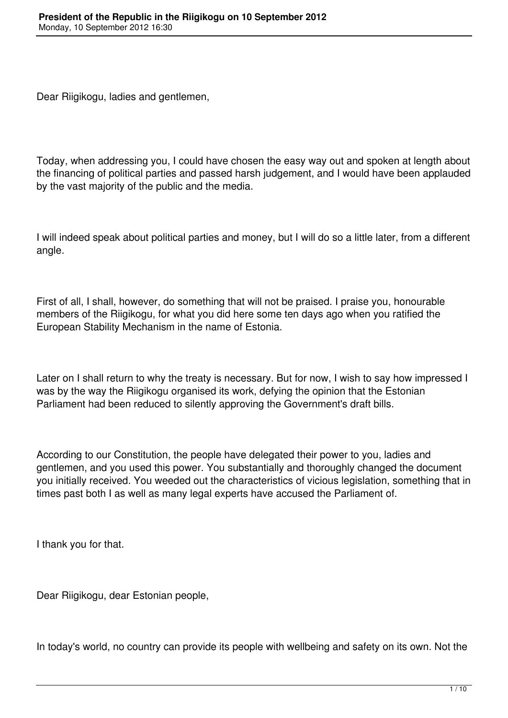Dear Riigikogu, ladies and gentlemen,

Today, when addressing you, I could have chosen the easy way out and spoken at length about the financing of political parties and passed harsh judgement, and I would have been applauded by the vast majority of the public and the media.

I will indeed speak about political parties and money, but I will do so a little later, from a different angle.

First of all, I shall, however, do something that will not be praised. I praise you, honourable members of the Riigikogu, for what you did here some ten days ago when you ratified the European Stability Mechanism in the name of Estonia.

Later on I shall return to why the treaty is necessary. But for now, I wish to say how impressed I was by the way the Riigikogu organised its work, defying the opinion that the Estonian Parliament had been reduced to silently approving the Government's draft bills.

According to our Constitution, the people have delegated their power to you, ladies and gentlemen, and you used this power. You substantially and thoroughly changed the document you initially received. You weeded out the characteristics of vicious legislation, something that in times past both I as well as many legal experts have accused the Parliament of.

I thank you for that.

Dear Riigikogu, dear Estonian people,

In today's world, no country can provide its people with wellbeing and safety on its own. Not the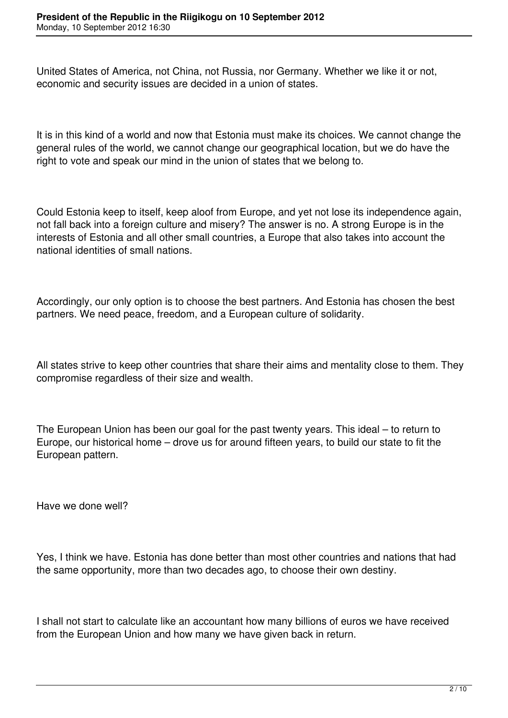United States of America, not China, not Russia, nor Germany. Whether we like it or not, economic and security issues are decided in a union of states.

It is in this kind of a world and now that Estonia must make its choices. We cannot change the general rules of the world, we cannot change our geographical location, but we do have the right to vote and speak our mind in the union of states that we belong to.

Could Estonia keep to itself, keep aloof from Europe, and yet not lose its independence again, not fall back into a foreign culture and misery? The answer is no. A strong Europe is in the interests of Estonia and all other small countries, a Europe that also takes into account the national identities of small nations.

Accordingly, our only option is to choose the best partners. And Estonia has chosen the best partners. We need peace, freedom, and a European culture of solidarity.

All states strive to keep other countries that share their aims and mentality close to them. They compromise regardless of their size and wealth.

The European Union has been our goal for the past twenty years. This ideal – to return to Europe, our historical home – drove us for around fifteen years, to build our state to fit the European pattern.

Have we done well?

Yes, I think we have. Estonia has done better than most other countries and nations that had the same opportunity, more than two decades ago, to choose their own destiny.

I shall not start to calculate like an accountant how many billions of euros we have received from the European Union and how many we have given back in return.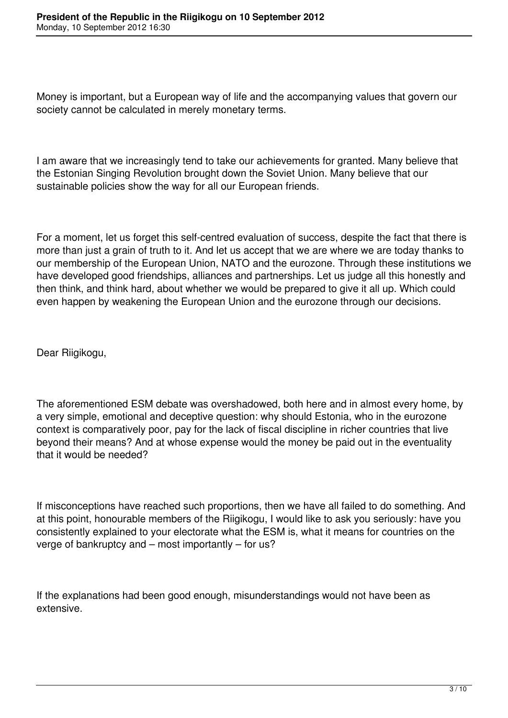Money is important, but a European way of life and the accompanying values that govern our society cannot be calculated in merely monetary terms.

I am aware that we increasingly tend to take our achievements for granted. Many believe that the Estonian Singing Revolution brought down the Soviet Union. Many believe that our sustainable policies show the way for all our European friends.

For a moment, let us forget this self-centred evaluation of success, despite the fact that there is more than just a grain of truth to it. And let us accept that we are where we are today thanks to our membership of the European Union, NATO and the eurozone. Through these institutions we have developed good friendships, alliances and partnerships. Let us judge all this honestly and then think, and think hard, about whether we would be prepared to give it all up. Which could even happen by weakening the European Union and the eurozone through our decisions.

Dear Riigikogu,

The aforementioned ESM debate was overshadowed, both here and in almost every home, by a very simple, emotional and deceptive question: why should Estonia, who in the eurozone context is comparatively poor, pay for the lack of fiscal discipline in richer countries that live beyond their means? And at whose expense would the money be paid out in the eventuality that it would be needed?

If misconceptions have reached such proportions, then we have all failed to do something. And at this point, honourable members of the Riigikogu, I would like to ask you seriously: have you consistently explained to your electorate what the ESM is, what it means for countries on the verge of bankruptcy and – most importantly – for us?

If the explanations had been good enough, misunderstandings would not have been as extensive.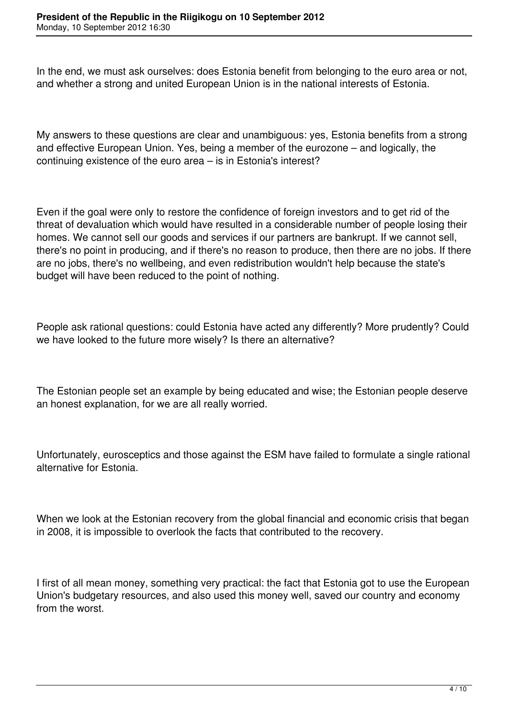In the end, we must ask ourselves: does Estonia benefit from belonging to the euro area or not, and whether a strong and united European Union is in the national interests of Estonia.

My answers to these questions are clear and unambiguous: yes, Estonia benefits from a strong and effective European Union. Yes, being a member of the eurozone – and logically, the continuing existence of the euro area – is in Estonia's interest?

Even if the goal were only to restore the confidence of foreign investors and to get rid of the threat of devaluation which would have resulted in a considerable number of people losing their homes. We cannot sell our goods and services if our partners are bankrupt. If we cannot sell, there's no point in producing, and if there's no reason to produce, then there are no jobs. If there are no jobs, there's no wellbeing, and even redistribution wouldn't help because the state's budget will have been reduced to the point of nothing.

People ask rational questions: could Estonia have acted any differently? More prudently? Could we have looked to the future more wisely? Is there an alternative?

The Estonian people set an example by being educated and wise; the Estonian people deserve an honest explanation, for we are all really worried.

Unfortunately, eurosceptics and those against the ESM have failed to formulate a single rational alternative for Estonia.

When we look at the Estonian recovery from the global financial and economic crisis that began in 2008, it is impossible to overlook the facts that contributed to the recovery.

I first of all mean money, something very practical: the fact that Estonia got to use the European Union's budgetary resources, and also used this money well, saved our country and economy from the worst.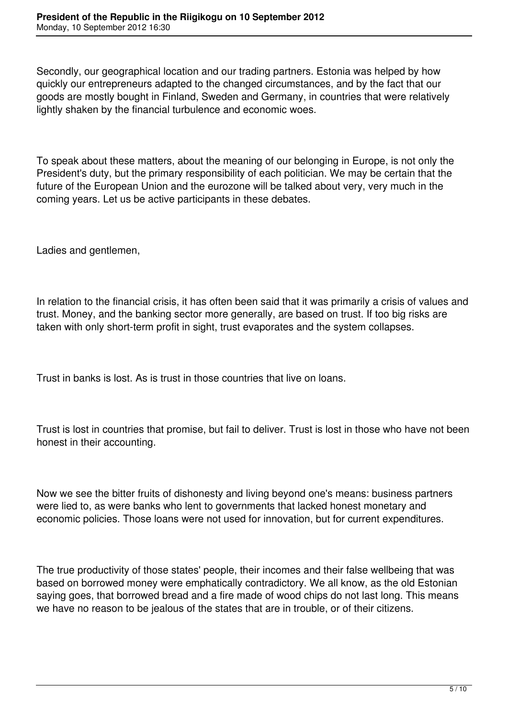Secondly, our geographical location and our trading partners. Estonia was helped by how quickly our entrepreneurs adapted to the changed circumstances, and by the fact that our goods are mostly bought in Finland, Sweden and Germany, in countries that were relatively lightly shaken by the financial turbulence and economic woes.

To speak about these matters, about the meaning of our belonging in Europe, is not only the President's duty, but the primary responsibility of each politician. We may be certain that the future of the European Union and the eurozone will be talked about very, very much in the coming years. Let us be active participants in these debates.

Ladies and gentlemen,

In relation to the financial crisis, it has often been said that it was primarily a crisis of values and trust. Money, and the banking sector more generally, are based on trust. If too big risks are taken with only short-term profit in sight, trust evaporates and the system collapses.

Trust in banks is lost. As is trust in those countries that live on loans.

Trust is lost in countries that promise, but fail to deliver. Trust is lost in those who have not been honest in their accounting.

Now we see the bitter fruits of dishonesty and living beyond one's means: business partners were lied to, as were banks who lent to governments that lacked honest monetary and economic policies. Those loans were not used for innovation, but for current expenditures.

The true productivity of those states' people, their incomes and their false wellbeing that was based on borrowed money were emphatically contradictory. We all know, as the old Estonian saying goes, that borrowed bread and a fire made of wood chips do not last long. This means we have no reason to be jealous of the states that are in trouble, or of their citizens.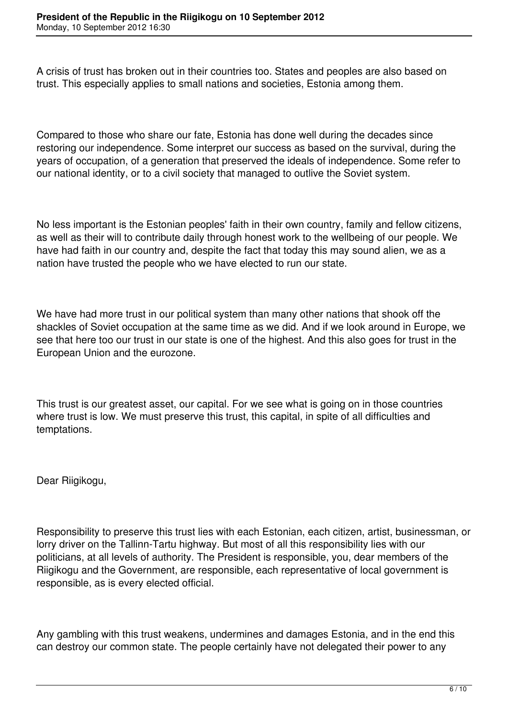A crisis of trust has broken out in their countries too. States and peoples are also based on trust. This especially applies to small nations and societies, Estonia among them.

Compared to those who share our fate, Estonia has done well during the decades since restoring our independence. Some interpret our success as based on the survival, during the years of occupation, of a generation that preserved the ideals of independence. Some refer to our national identity, or to a civil society that managed to outlive the Soviet system.

No less important is the Estonian peoples' faith in their own country, family and fellow citizens, as well as their will to contribute daily through honest work to the wellbeing of our people. We have had faith in our country and, despite the fact that today this may sound alien, we as a nation have trusted the people who we have elected to run our state.

We have had more trust in our political system than many other nations that shook off the shackles of Soviet occupation at the same time as we did. And if we look around in Europe, we see that here too our trust in our state is one of the highest. And this also goes for trust in the European Union and the eurozone.

This trust is our greatest asset, our capital. For we see what is going on in those countries where trust is low. We must preserve this trust, this capital, in spite of all difficulties and temptations.

Dear Riigikogu,

Responsibility to preserve this trust lies with each Estonian, each citizen, artist, businessman, or lorry driver on the Tallinn-Tartu highway. But most of all this responsibility lies with our politicians, at all levels of authority. The President is responsible, you, dear members of the Riigikogu and the Government, are responsible, each representative of local government is responsible, as is every elected official.

Any gambling with this trust weakens, undermines and damages Estonia, and in the end this can destroy our common state. The people certainly have not delegated their power to any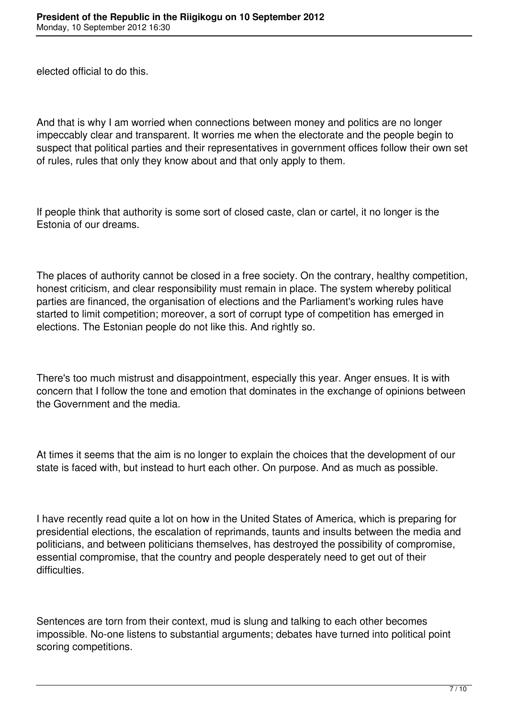elected official to do this.

And that is why I am worried when connections between money and politics are no longer impeccably clear and transparent. It worries me when the electorate and the people begin to suspect that political parties and their representatives in government offices follow their own set of rules, rules that only they know about and that only apply to them.

If people think that authority is some sort of closed caste, clan or cartel, it no longer is the Estonia of our dreams.

The places of authority cannot be closed in a free society. On the contrary, healthy competition, honest criticism, and clear responsibility must remain in place. The system whereby political parties are financed, the organisation of elections and the Parliament's working rules have started to limit competition; moreover, a sort of corrupt type of competition has emerged in elections. The Estonian people do not like this. And rightly so.

There's too much mistrust and disappointment, especially this year. Anger ensues. It is with concern that I follow the tone and emotion that dominates in the exchange of opinions between the Government and the media.

At times it seems that the aim is no longer to explain the choices that the development of our state is faced with, but instead to hurt each other. On purpose. And as much as possible.

I have recently read quite a lot on how in the United States of America, which is preparing for presidential elections, the escalation of reprimands, taunts and insults between the media and politicians, and between politicians themselves, has destroyed the possibility of compromise, essential compromise, that the country and people desperately need to get out of their difficulties.

Sentences are torn from their context, mud is slung and talking to each other becomes impossible. No-one listens to substantial arguments; debates have turned into political point scoring competitions.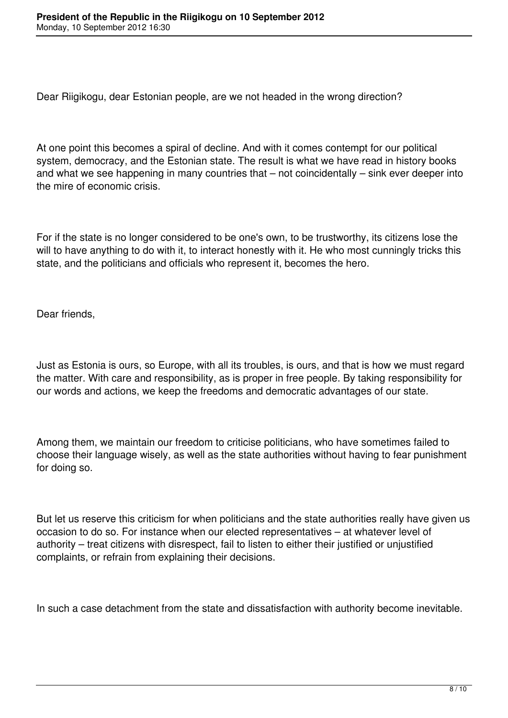Dear Riigikogu, dear Estonian people, are we not headed in the wrong direction?

At one point this becomes a spiral of decline. And with it comes contempt for our political system, democracy, and the Estonian state. The result is what we have read in history books and what we see happening in many countries that – not coincidentally – sink ever deeper into the mire of economic crisis.

For if the state is no longer considered to be one's own, to be trustworthy, its citizens lose the will to have anything to do with it, to interact honestly with it. He who most cunningly tricks this state, and the politicians and officials who represent it, becomes the hero.

Dear friends,

Just as Estonia is ours, so Europe, with all its troubles, is ours, and that is how we must regard the matter. With care and responsibility, as is proper in free people. By taking responsibility for our words and actions, we keep the freedoms and democratic advantages of our state.

Among them, we maintain our freedom to criticise politicians, who have sometimes failed to choose their language wisely, as well as the state authorities without having to fear punishment for doing so.

But let us reserve this criticism for when politicians and the state authorities really have given us occasion to do so. For instance when our elected representatives – at whatever level of authority – treat citizens with disrespect, fail to listen to either their justified or unjustified complaints, or refrain from explaining their decisions.

In such a case detachment from the state and dissatisfaction with authority become inevitable.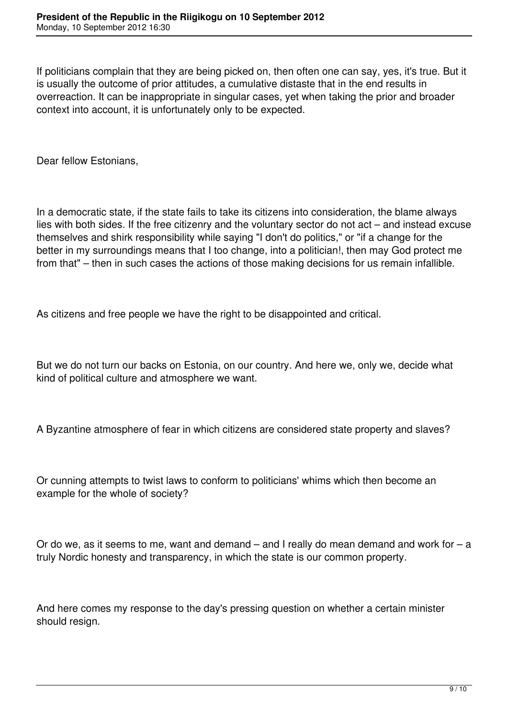If politicians complain that they are being picked on, then often one can say, yes, it's true. But it is usually the outcome of prior attitudes, a cumulative distaste that in the end results in overreaction. It can be inappropriate in singular cases, yet when taking the prior and broader context into account, it is unfortunately only to be expected.

Dear fellow Estonians,

In a democratic state, if the state fails to take its citizens into consideration, the blame always lies with both sides. If the free citizenry and the voluntary sector do not act – and instead excuse themselves and shirk responsibility while saying "I don't do politics," or "if a change for the better in my surroundings means that I too change, into a politician!, then may God protect me from that" – then in such cases the actions of those making decisions for us remain infallible.

As citizens and free people we have the right to be disappointed and critical.

But we do not turn our backs on Estonia, on our country. And here we, only we, decide what kind of political culture and atmosphere we want.

A Byzantine atmosphere of fear in which citizens are considered state property and slaves?

Or cunning attempts to twist laws to conform to politicians' whims which then become an example for the whole of society?

Or do we, as it seems to me, want and demand  $-$  and I really do mean demand and work for  $-$  a truly Nordic honesty and transparency, in which the state is our common property.

And here comes my response to the day's pressing question on whether a certain minister should resign.